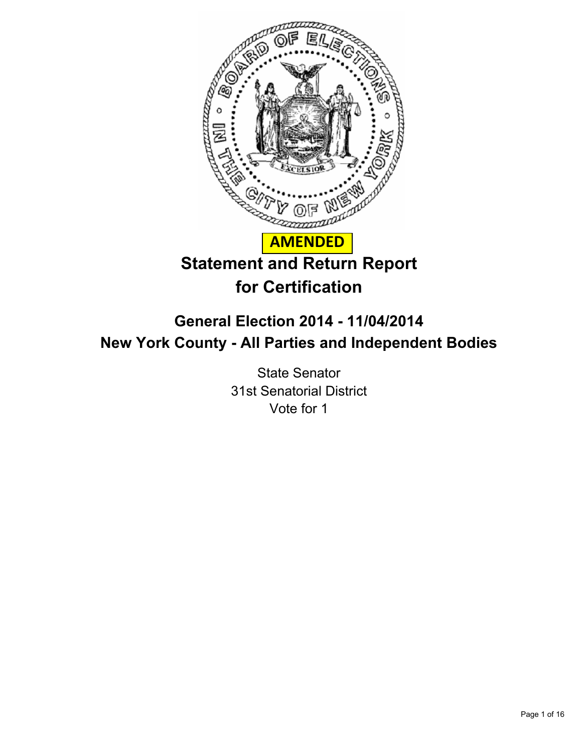

# **General Election 2014 - 11/04/2014 New York County - All Parties and Independent Bodies**

State Senator 31st Senatorial District Vote for 1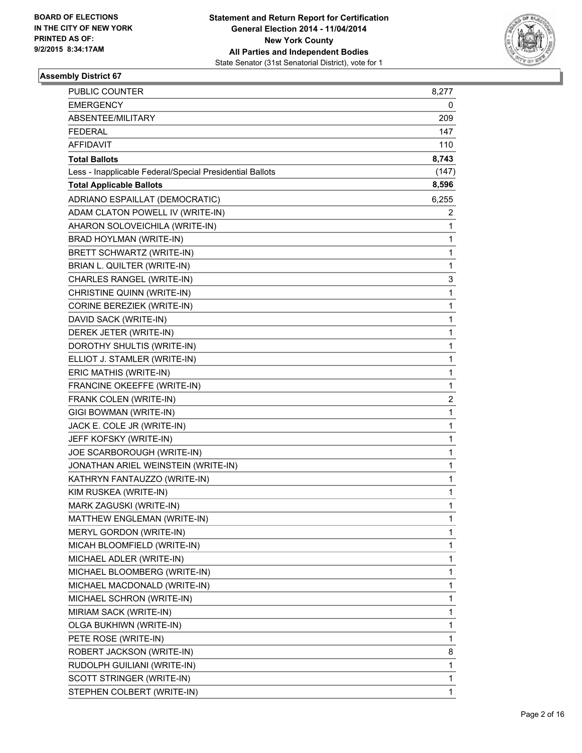

| PUBLIC COUNTER                                           | 8,277 |
|----------------------------------------------------------|-------|
| <b>EMERGENCY</b>                                         | 0     |
| ABSENTEE/MILITARY                                        | 209   |
| <b>FEDERAL</b>                                           | 147   |
| <b>AFFIDAVIT</b>                                         | 110   |
| <b>Total Ballots</b>                                     | 8,743 |
| Less - Inapplicable Federal/Special Presidential Ballots | (147) |
| <b>Total Applicable Ballots</b>                          | 8,596 |
| ADRIANO ESPAILLAT (DEMOCRATIC)                           | 6,255 |
| ADAM CLATON POWELL IV (WRITE-IN)                         | 2     |
| AHARON SOLOVEICHILA (WRITE-IN)                           | 1     |
| BRAD HOYLMAN (WRITE-IN)                                  | 1     |
| BRETT SCHWARTZ (WRITE-IN)                                | 1     |
| BRIAN L. QUILTER (WRITE-IN)                              | 1     |
| CHARLES RANGEL (WRITE-IN)                                | 3     |
| CHRISTINE QUINN (WRITE-IN)                               | 1     |
| CORINE BEREZIEK (WRITE-IN)                               | 1     |
| DAVID SACK (WRITE-IN)                                    | 1     |
| DEREK JETER (WRITE-IN)                                   | 1     |
| DOROTHY SHULTIS (WRITE-IN)                               | 1     |
| ELLIOT J. STAMLER (WRITE-IN)                             | 1     |
| ERIC MATHIS (WRITE-IN)                                   | 1     |
| FRANCINE OKEEFFE (WRITE-IN)                              | 1     |
| FRANK COLEN (WRITE-IN)                                   | 2     |
| GIGI BOWMAN (WRITE-IN)                                   | 1     |
| JACK E. COLE JR (WRITE-IN)                               | 1     |
| JEFF KOFSKY (WRITE-IN)                                   | 1     |
| JOE SCARBOROUGH (WRITE-IN)                               | 1     |
| JONATHAN ARIEL WEINSTEIN (WRITE-IN)                      | 1     |
| KATHRYN FANTAUZZO (WRITE-IN)                             | 1     |
| KIM RUSKEA (WRITE-IN)                                    | 1     |
| MARK ZAGUSKI (WRITE-IN)                                  | 1     |
| MATTHEW ENGLEMAN (WRITE-IN)                              | 1     |
| MERYL GORDON (WRITE-IN)                                  | 1     |
| MICAH BLOOMFIELD (WRITE-IN)                              | 1     |
| MICHAEL ADLER (WRITE-IN)                                 | 1     |
| MICHAEL BLOOMBERG (WRITE-IN)                             | 1     |
| MICHAEL MACDONALD (WRITE-IN)                             | 1     |
| MICHAEL SCHRON (WRITE-IN)                                | 1     |
| MIRIAM SACK (WRITE-IN)                                   | 1     |
| OLGA BUKHIWN (WRITE-IN)                                  | 1     |
| PETE ROSE (WRITE-IN)                                     | 1     |
| ROBERT JACKSON (WRITE-IN)                                | 8     |
| RUDOLPH GUILIANI (WRITE-IN)                              | 1     |
| SCOTT STRINGER (WRITE-IN)                                | 1     |
| STEPHEN COLBERT (WRITE-IN)                               | 1     |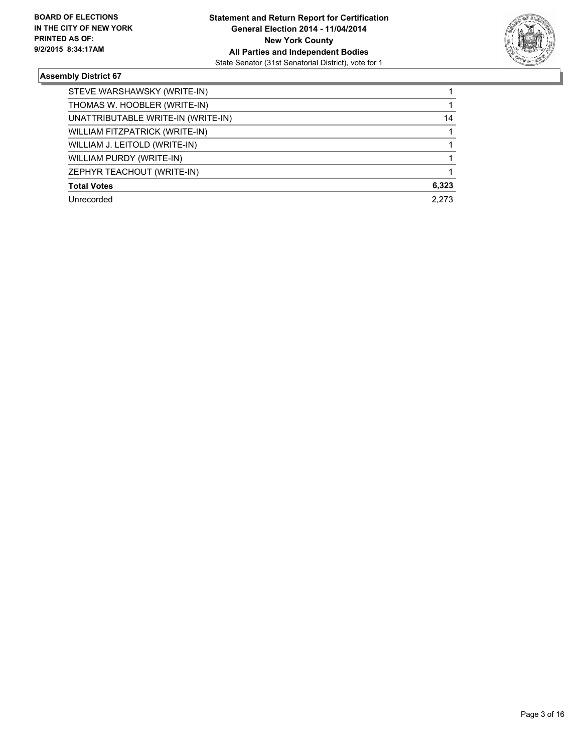

| STEVE WARSHAWSKY (WRITE-IN)        |       |
|------------------------------------|-------|
| THOMAS W. HOOBLER (WRITE-IN)       |       |
| UNATTRIBUTABLE WRITE-IN (WRITE-IN) | 14    |
| WILLIAM FITZPATRICK (WRITE-IN)     |       |
| WILLIAM J. LEITOLD (WRITE-IN)      |       |
| WILLIAM PURDY (WRITE-IN)           |       |
| ZEPHYR TEACHOUT (WRITE-IN)         |       |
| <b>Total Votes</b>                 | 6,323 |
| Unrecorded                         | 2.273 |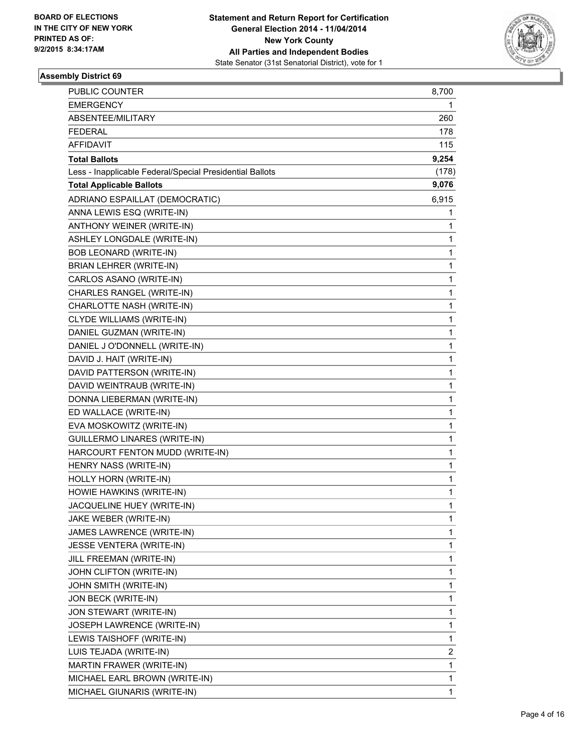

| PUBLIC COUNTER                                           | 8,700 |
|----------------------------------------------------------|-------|
| <b>EMERGENCY</b>                                         | 1     |
| ABSENTEE/MILITARY                                        | 260   |
| <b>FEDERAL</b>                                           | 178   |
| <b>AFFIDAVIT</b>                                         | 115   |
| <b>Total Ballots</b>                                     | 9,254 |
| Less - Inapplicable Federal/Special Presidential Ballots | (178) |
| <b>Total Applicable Ballots</b>                          | 9,076 |
| ADRIANO ESPAILLAT (DEMOCRATIC)                           | 6,915 |
| ANNA LEWIS ESQ (WRITE-IN)                                | 1     |
| ANTHONY WEINER (WRITE-IN)                                | 1     |
| ASHLEY LONGDALE (WRITE-IN)                               | 1     |
| BOB LEONARD (WRITE-IN)                                   | 1     |
| BRIAN LEHRER (WRITE-IN)                                  | 1     |
| CARLOS ASANO (WRITE-IN)                                  | 1     |
| CHARLES RANGEL (WRITE-IN)                                | 1     |
| CHARLOTTE NASH (WRITE-IN)                                | 1     |
| CLYDE WILLIAMS (WRITE-IN)                                | 1     |
| DANIEL GUZMAN (WRITE-IN)                                 | 1     |
| DANIEL J O'DONNELL (WRITE-IN)                            | 1     |
| DAVID J. HAIT (WRITE-IN)                                 | 1     |
| DAVID PATTERSON (WRITE-IN)                               | 1     |
| DAVID WEINTRAUB (WRITE-IN)                               | 1     |
| DONNA LIEBERMAN (WRITE-IN)                               | 1     |
| ED WALLACE (WRITE-IN)                                    | 1     |
| EVA MOSKOWITZ (WRITE-IN)                                 | 1     |
| GUILLERMO LINARES (WRITE-IN)                             | 1     |
| HARCOURT FENTON MUDD (WRITE-IN)                          | 1     |
| HENRY NASS (WRITE-IN)                                    | 1     |
| HOLLY HORN (WRITE-IN)                                    | 1     |
| HOWIE HAWKINS (WRITE-IN)                                 | 1     |
| JACQUELINE HUEY (WRITE-IN)                               | 1     |
| JAKE WEBER (WRITE-IN)                                    | 1     |
| JAMES LAWRENCE (WRITE-IN)                                | 1     |
| JESSE VENTERA (WRITE-IN)                                 | 1     |
| JILL FREEMAN (WRITE-IN)                                  | 1     |
| JOHN CLIFTON (WRITE-IN)                                  | 1     |
| JOHN SMITH (WRITE-IN)                                    | 1     |
| JON BECK (WRITE-IN)                                      | 1     |
| JON STEWART (WRITE-IN)                                   | 1     |
| JOSEPH LAWRENCE (WRITE-IN)                               | 1     |
| LEWIS TAISHOFF (WRITE-IN)                                | 1     |
| LUIS TEJADA (WRITE-IN)                                   | 2     |
| MARTIN FRAWER (WRITE-IN)                                 | 1     |
| MICHAEL EARL BROWN (WRITE-IN)                            | 1     |
| MICHAEL GIUNARIS (WRITE-IN)                              | 1     |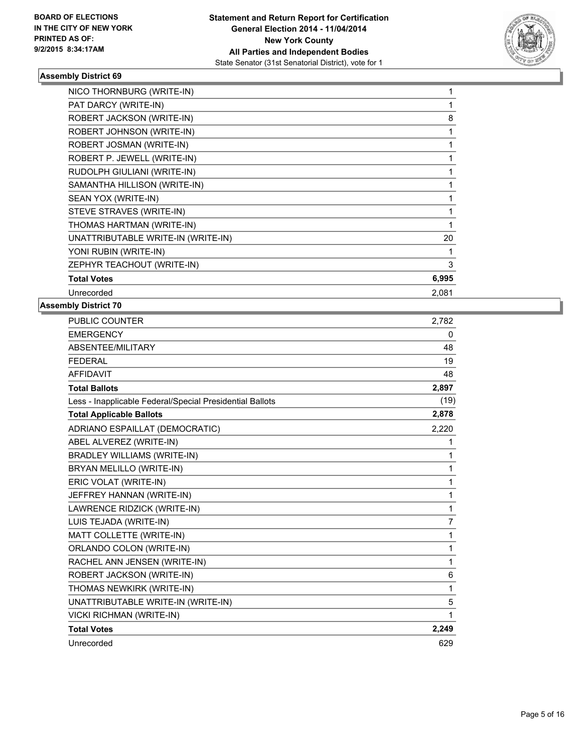

| NICO THORNBURG (WRITE-IN)          |       |
|------------------------------------|-------|
| PAT DARCY (WRITE-IN)               |       |
| ROBERT JACKSON (WRITE-IN)          | 8     |
| ROBERT JOHNSON (WRITE-IN)          |       |
| ROBERT JOSMAN (WRITE-IN)           |       |
| ROBERT P. JEWELL (WRITE-IN)        |       |
| RUDOLPH GIULIANI (WRITE-IN)        |       |
| SAMANTHA HILLISON (WRITE-IN)       |       |
| SEAN YOX (WRITE-IN)                |       |
| STEVE STRAVES (WRITE-IN)           |       |
| THOMAS HARTMAN (WRITE-IN)          |       |
| UNATTRIBUTABLE WRITE-IN (WRITE-IN) | 20    |
| YONI RUBIN (WRITE-IN)              |       |
| ZEPHYR TEACHOUT (WRITE-IN)         | 3     |
| <b>Total Votes</b>                 | 6,995 |
| Unrecorded                         | 2,081 |

| <b>PUBLIC COUNTER</b>                                    | 2,782 |
|----------------------------------------------------------|-------|
| <b>EMERGENCY</b>                                         | 0     |
| ABSENTEE/MILITARY                                        | 48    |
| <b>FEDERAL</b>                                           | 19    |
| <b>AFFIDAVIT</b>                                         | 48    |
| <b>Total Ballots</b>                                     | 2,897 |
| Less - Inapplicable Federal/Special Presidential Ballots | (19)  |
| <b>Total Applicable Ballots</b>                          | 2,878 |
| ADRIANO ESPAILLAT (DEMOCRATIC)                           | 2,220 |
| ABEL ALVEREZ (WRITE-IN)                                  | 1     |
| <b>BRADLEY WILLIAMS (WRITE-IN)</b>                       | 1     |
| BRYAN MELILLO (WRITE-IN)                                 | 1     |
| ERIC VOLAT (WRITE-IN)                                    | 1     |
| JEFFREY HANNAN (WRITE-IN)                                | 1     |
| LAWRENCE RIDZICK (WRITE-IN)                              | 1     |
| LUIS TEJADA (WRITE-IN)                                   | 7     |
| MATT COLLETTE (WRITE-IN)                                 | 1     |
| ORLANDO COLON (WRITE-IN)                                 | 1     |
| RACHEL ANN JENSEN (WRITE-IN)                             | 1     |
| ROBERT JACKSON (WRITE-IN)                                | 6     |
| THOMAS NEWKIRK (WRITE-IN)                                | 1     |
| UNATTRIBUTABLE WRITE-IN (WRITE-IN)                       | 5     |
| <b>VICKI RICHMAN (WRITE-IN)</b>                          | 1     |
| <b>Total Votes</b>                                       | 2,249 |
| Unrecorded                                               | 629   |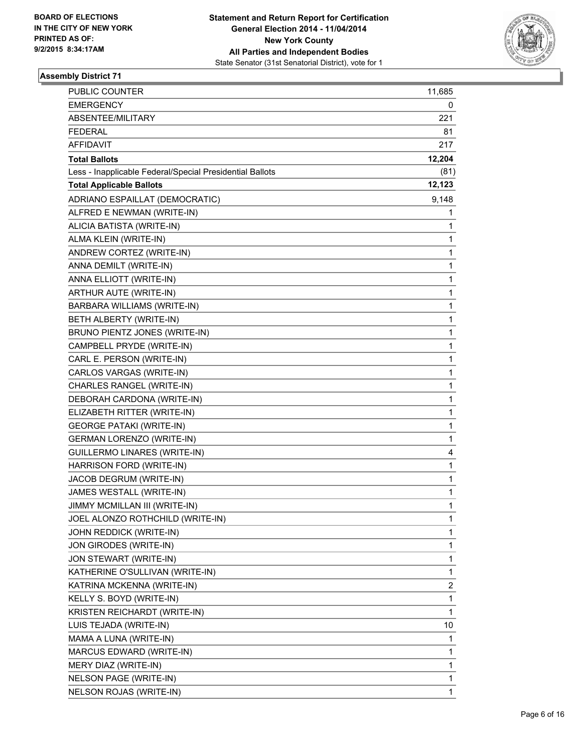

| PUBLIC COUNTER                                           | 11,685 |
|----------------------------------------------------------|--------|
| <b>EMERGENCY</b>                                         | 0      |
| ABSENTEE/MILITARY                                        | 221    |
| <b>FEDERAL</b>                                           | 81     |
| AFFIDAVIT                                                | 217    |
| <b>Total Ballots</b>                                     | 12,204 |
| Less - Inapplicable Federal/Special Presidential Ballots | (81)   |
| <b>Total Applicable Ballots</b>                          | 12,123 |
| ADRIANO ESPAILLAT (DEMOCRATIC)                           | 9,148  |
| ALFRED E NEWMAN (WRITE-IN)                               | 1      |
| ALICIA BATISTA (WRITE-IN)                                | 1      |
| ALMA KLEIN (WRITE-IN)                                    | 1      |
| ANDREW CORTEZ (WRITE-IN)                                 | 1      |
| ANNA DEMILT (WRITE-IN)                                   | 1      |
| ANNA ELLIOTT (WRITE-IN)                                  | 1      |
| ARTHUR AUTE (WRITE-IN)                                   | 1      |
| BARBARA WILLIAMS (WRITE-IN)                              | 1      |
| BETH ALBERTY (WRITE-IN)                                  | 1      |
| BRUNO PIENTZ JONES (WRITE-IN)                            | 1      |
| CAMPBELL PRYDE (WRITE-IN)                                | 1      |
| CARL E. PERSON (WRITE-IN)                                | 1      |
| CARLOS VARGAS (WRITE-IN)                                 | 1      |
| CHARLES RANGEL (WRITE-IN)                                | 1      |
| DEBORAH CARDONA (WRITE-IN)                               | 1      |
| ELIZABETH RITTER (WRITE-IN)                              | 1      |
| <b>GEORGE PATAKI (WRITE-IN)</b>                          | 1      |
| <b>GERMAN LORENZO (WRITE-IN)</b>                         | 1      |
| GUILLERMO LINARES (WRITE-IN)                             | 4      |
| HARRISON FORD (WRITE-IN)                                 | 1      |
| JACOB DEGRUM (WRITE-IN)                                  | 1      |
| JAMES WESTALL (WRITE-IN)                                 | 1      |
| JIMMY MCMILLAN III (WRITE-IN)                            | 1      |
| JOEL ALONZO ROTHCHILD (WRITE-IN)                         | 1      |
| JOHN REDDICK (WRITE-IN)                                  | 1      |
| JON GIRODES (WRITE-IN)                                   | 1      |
| JON STEWART (WRITE-IN)                                   | 1      |
| KATHERINE O'SULLIVAN (WRITE-IN)                          | 1      |
| KATRINA MCKENNA (WRITE-IN)                               | 2      |
| KELLY S. BOYD (WRITE-IN)                                 | 1      |
| KRISTEN REICHARDT (WRITE-IN)                             | 1      |
| LUIS TEJADA (WRITE-IN)                                   | 10     |
| MAMA A LUNA (WRITE-IN)                                   | 1      |
| MARCUS EDWARD (WRITE-IN)                                 | 1      |
| MERY DIAZ (WRITE-IN)                                     | 1      |
| NELSON PAGE (WRITE-IN)                                   | 1      |
| NELSON ROJAS (WRITE-IN)                                  | 1      |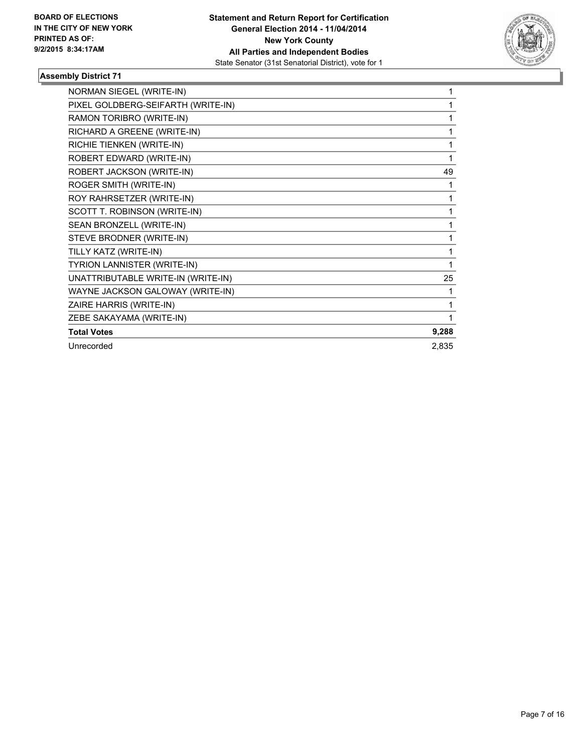

| NORMAN SIEGEL (WRITE-IN)           | 1            |
|------------------------------------|--------------|
| PIXEL GOLDBERG-SEIFARTH (WRITE-IN) | 1            |
| RAMON TORIBRO (WRITE-IN)           | 1            |
| RICHARD A GREENE (WRITE-IN)        | 1            |
| RICHIE TIENKEN (WRITE-IN)          | 1            |
| ROBERT EDWARD (WRITE-IN)           | $\mathbf{1}$ |
| ROBERT JACKSON (WRITE-IN)          | 49           |
| ROGER SMITH (WRITE-IN)             | 1            |
| ROY RAHRSETZER (WRITE-IN)          | 1            |
| SCOTT T. ROBINSON (WRITE-IN)       | 1            |
| SEAN BRONZELL (WRITE-IN)           | 1            |
| STEVE BRODNER (WRITE-IN)           | 1            |
| TILLY KATZ (WRITE-IN)              | 1            |
| TYRION LANNISTER (WRITE-IN)        | 1            |
| UNATTRIBUTABLE WRITE-IN (WRITE-IN) | 25           |
| WAYNE JACKSON GALOWAY (WRITE-IN)   | 1            |
| ZAIRE HARRIS (WRITE-IN)            | 1            |
| ZEBE SAKAYAMA (WRITE-IN)           | 1            |
| <b>Total Votes</b>                 | 9,288        |
| Unrecorded                         | 2,835        |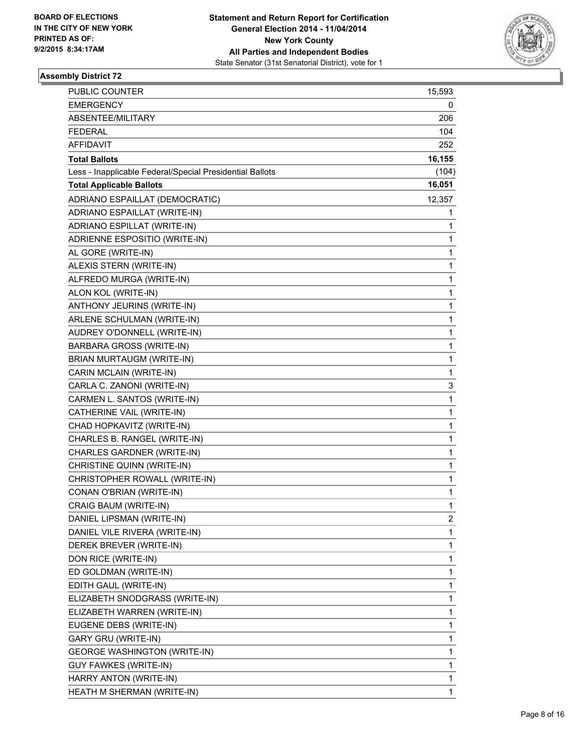

| PUBLIC COUNTER                                           | 15,593 |
|----------------------------------------------------------|--------|
| <b>EMERGENCY</b>                                         | 0      |
| ABSENTEE/MILITARY                                        | 206    |
| <b>FEDERAL</b>                                           | 104    |
| AFFIDAVIT                                                | 252    |
| <b>Total Ballots</b>                                     | 16,155 |
| Less - Inapplicable Federal/Special Presidential Ballots | (104)  |
| <b>Total Applicable Ballots</b>                          | 16,051 |
| ADRIANO ESPAILLAT (DEMOCRATIC)                           | 12,357 |
| ADRIANO ESPAILLAT (WRITE-IN)                             | 1      |
| ADRIANO ESPILLAT (WRITE-IN)                              | 1      |
| ADRIENNE ESPOSITIO (WRITE-IN)                            | 1      |
| AL GORE (WRITE-IN)                                       | 1      |
| ALEXIS STERN (WRITE-IN)                                  | 1      |
| ALFREDO MURGA (WRITE-IN)                                 | 1      |
| ALON KOL (WRITE-IN)                                      | 1      |
| ANTHONY JEURINS (WRITE-IN)                               | 1      |
| ARLENE SCHULMAN (WRITE-IN)                               | 1      |
| AUDREY O'DONNELL (WRITE-IN)                              | 1      |
| <b>BARBARA GROSS (WRITE-IN)</b>                          | 1      |
| BRIAN MURTAUGM (WRITE-IN)                                | 1      |
| CARIN MCLAIN (WRITE-IN)                                  | 1      |
| CARLA C. ZANONI (WRITE-IN)                               | 3      |
| CARMEN L. SANTOS (WRITE-IN)                              | 1      |
| CATHERINE VAIL (WRITE-IN)                                | 1      |
| CHAD HOPKAVITZ (WRITE-IN)                                | 1      |
| CHARLES B. RANGEL (WRITE-IN)                             | 1      |
| CHARLES GARDNER (WRITE-IN)                               | 1      |
| CHRISTINE QUINN (WRITE-IN)                               | 1      |
| CHRISTOPHER ROWALL (WRITE-IN)                            | 1      |
| CONAN O'BRIAN (WRITE-IN)                                 | 1      |
| CRAIG BAUM (WRITE-IN)                                    | 1      |
| DANIEL LIPSMAN (WRITE-IN)                                | 2      |
| DANIEL VILE RIVERA (WRITE-IN)                            | 1      |
| DEREK BREVER (WRITE-IN)                                  | 1      |
| DON RICE (WRITE-IN)                                      | 1      |
| ED GOLDMAN (WRITE-IN)                                    | 1      |
| EDITH GAUL (WRITE-IN)                                    | 1      |
| ELIZABETH SNODGRASS (WRITE-IN)                           | 1      |
| ELIZABETH WARREN (WRITE-IN)                              | 1      |
| EUGENE DEBS (WRITE-IN)                                   | 1      |
| GARY GRU (WRITE-IN)                                      | 1      |
| <b>GEORGE WASHINGTON (WRITE-IN)</b>                      | 1      |
| <b>GUY FAWKES (WRITE-IN)</b>                             | 1      |
| HARRY ANTON (WRITE-IN)                                   | 1      |
| HEATH M SHERMAN (WRITE-IN)                               | 1      |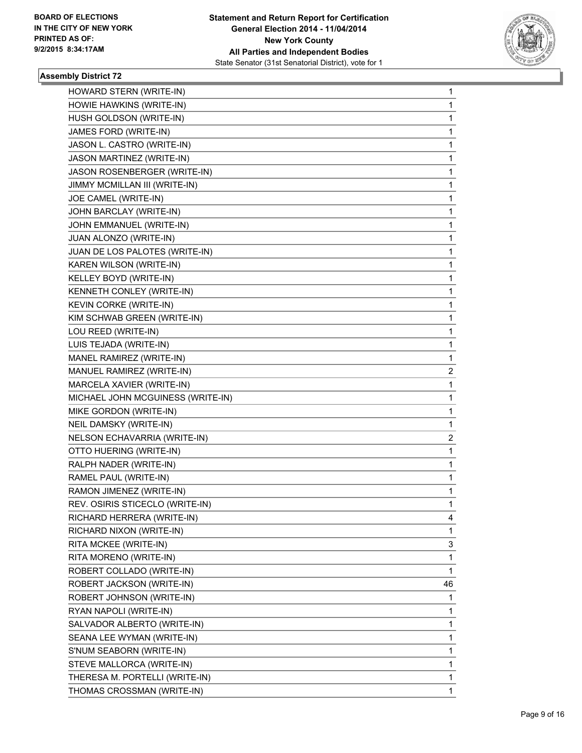

| HOWARD STERN (WRITE-IN)           | 1  |
|-----------------------------------|----|
| HOWIE HAWKINS (WRITE-IN)          | 1  |
| HUSH GOLDSON (WRITE-IN)           | 1  |
| JAMES FORD (WRITE-IN)             | 1  |
| JASON L. CASTRO (WRITE-IN)        | 1  |
| JASON MARTINEZ (WRITE-IN)         | 1  |
| JASON ROSENBERGER (WRITE-IN)      | 1  |
| JIMMY MCMILLAN III (WRITE-IN)     | 1  |
| JOE CAMEL (WRITE-IN)              | 1  |
| JOHN BARCLAY (WRITE-IN)           | 1  |
| JOHN EMMANUEL (WRITE-IN)          | 1  |
| JUAN ALONZO (WRITE-IN)            | 1  |
| JUAN DE LOS PALOTES (WRITE-IN)    | 1  |
| KAREN WILSON (WRITE-IN)           | 1  |
| KELLEY BOYD (WRITE-IN)            | 1  |
| KENNETH CONLEY (WRITE-IN)         | 1  |
| KEVIN CORKE (WRITE-IN)            | 1  |
| KIM SCHWAB GREEN (WRITE-IN)       | 1  |
| LOU REED (WRITE-IN)               | 1  |
| LUIS TEJADA (WRITE-IN)            | 1  |
| MANEL RAMIREZ (WRITE-IN)          | 1  |
| MANUEL RAMIREZ (WRITE-IN)         | 2  |
| MARCELA XAVIER (WRITE-IN)         | 1  |
| MICHAEL JOHN MCGUINESS (WRITE-IN) | 1  |
| MIKE GORDON (WRITE-IN)            | 1  |
| NEIL DAMSKY (WRITE-IN)            | 1  |
| NELSON ECHAVARRIA (WRITE-IN)      | 2  |
| OTTO HUERING (WRITE-IN)           | 1  |
| RALPH NADER (WRITE-IN)            | 1  |
| RAMEL PAUL (WRITE-IN)             | 1  |
| RAMON JIMENEZ (WRITE-IN)          | 1  |
| REV. OSIRIS STICECLO (WRITE-IN)   | 1  |
| RICHARD HERRERA (WRITE-IN)        | 4  |
| RICHARD NIXON (WRITE-IN)          | 1  |
| RITA MCKEE (WRITE-IN)             | 3  |
| RITA MORENO (WRITE-IN)            | 1  |
| ROBERT COLLADO (WRITE-IN)         | 1  |
| ROBERT JACKSON (WRITE-IN)         | 46 |
| ROBERT JOHNSON (WRITE-IN)         | 1  |
| RYAN NAPOLI (WRITE-IN)            | 1  |
| SALVADOR ALBERTO (WRITE-IN)       | 1  |
| SEANA LEE WYMAN (WRITE-IN)        | 1  |
| S'NUM SEABORN (WRITE-IN)          | 1  |
| STEVE MALLORCA (WRITE-IN)         | 1  |
| THERESA M. PORTELLI (WRITE-IN)    | 1  |
| THOMAS CROSSMAN (WRITE-IN)        | 1  |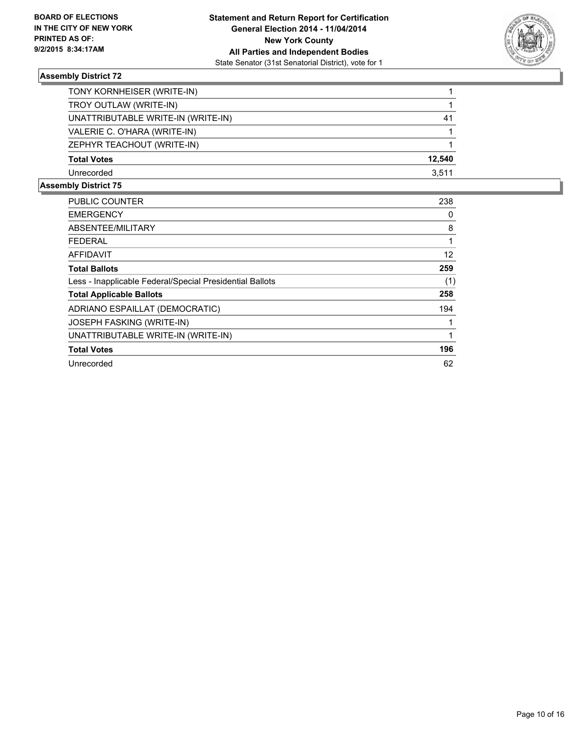

| TONY KORNHEISER (WRITE-IN)         |        |
|------------------------------------|--------|
| TROY OUTLAW (WRITE-IN)             |        |
| UNATTRIBUTABLE WRITE-IN (WRITE-IN) | 41     |
| VALERIE C. O'HARA (WRITE-IN)       |        |
| ZEPHYR TEACHOUT (WRITE-IN)         |        |
| <b>Total Votes</b>                 | 12.540 |
| Unrecorded                         | 3,511  |

| <b>PUBLIC COUNTER</b>                                    | 238 |
|----------------------------------------------------------|-----|
| <b>EMERGENCY</b>                                         | 0   |
| ABSENTEE/MILITARY                                        | 8   |
| FEDERAL                                                  | 1   |
| <b>AFFIDAVIT</b>                                         | 12  |
| <b>Total Ballots</b>                                     | 259 |
| Less - Inapplicable Federal/Special Presidential Ballots | (1) |
| <b>Total Applicable Ballots</b>                          | 258 |
| ADRIANO ESPAILLAT (DEMOCRATIC)                           | 194 |
| <b>JOSEPH FASKING (WRITE-IN)</b>                         |     |
| UNATTRIBUTABLE WRITE-IN (WRITE-IN)                       | 1   |
| <b>Total Votes</b>                                       | 196 |
| Unrecorded                                               | 62  |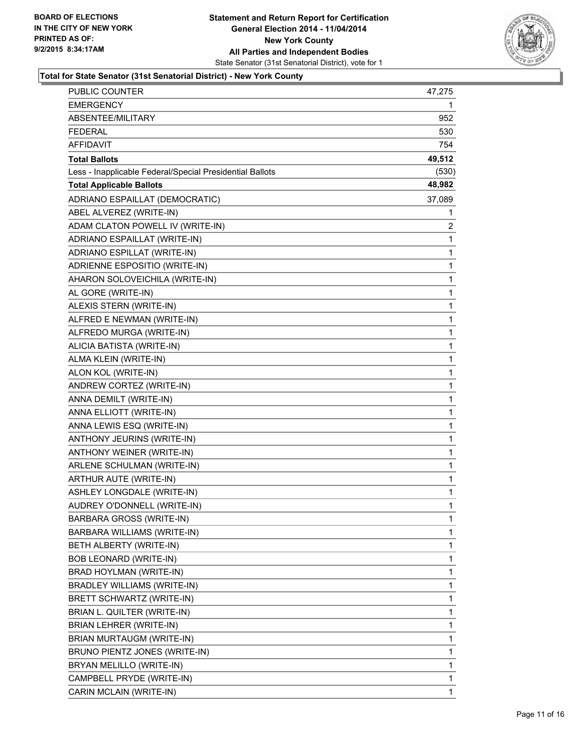

| PUBLIC COUNTER                                           | 47,275 |
|----------------------------------------------------------|--------|
| <b>EMERGENCY</b>                                         | 1      |
| ABSENTEE/MILITARY                                        | 952    |
| <b>FEDERAL</b>                                           | 530    |
| <b>AFFIDAVIT</b>                                         | 754    |
| <b>Total Ballots</b>                                     | 49,512 |
| Less - Inapplicable Federal/Special Presidential Ballots | (530)  |
| <b>Total Applicable Ballots</b>                          | 48,982 |
| ADRIANO ESPAILLAT (DEMOCRATIC)                           | 37,089 |
| ABEL ALVEREZ (WRITE-IN)                                  | 1      |
| ADAM CLATON POWELL IV (WRITE-IN)                         | 2      |
| ADRIANO ESPAILLAT (WRITE-IN)                             | 1      |
| ADRIANO ESPILLAT (WRITE-IN)                              | 1      |
| ADRIENNE ESPOSITIO (WRITE-IN)                            | 1      |
| AHARON SOLOVEICHILA (WRITE-IN)                           | 1      |
| AL GORE (WRITE-IN)                                       | 1      |
| ALEXIS STERN (WRITE-IN)                                  | 1      |
| ALFRED E NEWMAN (WRITE-IN)                               | 1      |
| ALFREDO MURGA (WRITE-IN)                                 | 1      |
| ALICIA BATISTA (WRITE-IN)                                | 1      |
| ALMA KLEIN (WRITE-IN)                                    | 1      |
| ALON KOL (WRITE-IN)                                      | 1      |
| ANDREW CORTEZ (WRITE-IN)                                 | 1      |
| ANNA DEMILT (WRITE-IN)                                   | 1      |
| ANNA ELLIOTT (WRITE-IN)                                  | 1      |
| ANNA LEWIS ESQ (WRITE-IN)                                | 1      |
| ANTHONY JEURINS (WRITE-IN)                               | 1      |
| ANTHONY WEINER (WRITE-IN)                                | 1      |
| ARLENE SCHULMAN (WRITE-IN)                               | 1      |
| ARTHUR AUTE (WRITE-IN)                                   | 1      |
| ASHLEY LONGDALE (WRITE-IN)                               | 1      |
| AUDREY O'DONNELL (WRITE-IN)                              | 1      |
| <b>BARBARA GROSS (WRITE-IN)</b>                          | 1      |
| BARBARA WILLIAMS (WRITE-IN)                              | 1      |
| BETH ALBERTY (WRITE-IN)                                  | 1      |
| BOB LEONARD (WRITE-IN)                                   | 1      |
| BRAD HOYLMAN (WRITE-IN)                                  | 1      |
| BRADLEY WILLIAMS (WRITE-IN)                              | 1      |
| BRETT SCHWARTZ (WRITE-IN)                                | 1      |
| BRIAN L. QUILTER (WRITE-IN)                              | 1      |
| <b>BRIAN LEHRER (WRITE-IN)</b>                           | 1      |
| BRIAN MURTAUGM (WRITE-IN)                                | 1      |
| BRUNO PIENTZ JONES (WRITE-IN)                            | 1      |
| BRYAN MELILLO (WRITE-IN)                                 | 1      |
| CAMPBELL PRYDE (WRITE-IN)                                | 1      |
| CARIN MCLAIN (WRITE-IN)                                  | 1      |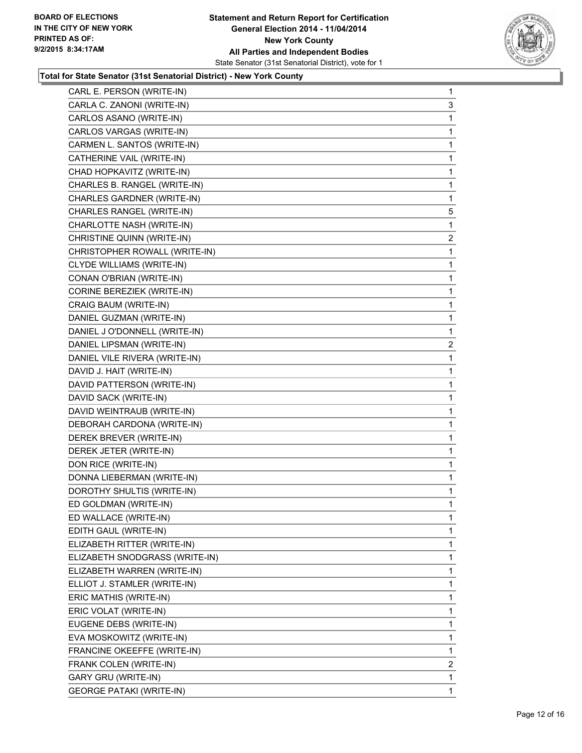

| CARL E. PERSON (WRITE-IN)         | $\mathbf 1$    |
|-----------------------------------|----------------|
| CARLA C. ZANONI (WRITE-IN)        | 3              |
| CARLOS ASANO (WRITE-IN)           | 1              |
| CARLOS VARGAS (WRITE-IN)          | 1              |
| CARMEN L. SANTOS (WRITE-IN)       | 1              |
| CATHERINE VAIL (WRITE-IN)         | 1              |
| CHAD HOPKAVITZ (WRITE-IN)         | 1              |
| CHARLES B. RANGEL (WRITE-IN)      | 1              |
| CHARLES GARDNER (WRITE-IN)        | 1              |
| CHARLES RANGEL (WRITE-IN)         | 5              |
| CHARLOTTE NASH (WRITE-IN)         | 1              |
| CHRISTINE QUINN (WRITE-IN)        | $\overline{2}$ |
| CHRISTOPHER ROWALL (WRITE-IN)     | 1              |
| CLYDE WILLIAMS (WRITE-IN)         | 1              |
| CONAN O'BRIAN (WRITE-IN)          | 1              |
| <b>CORINE BEREZIEK (WRITE-IN)</b> | 1              |
| CRAIG BAUM (WRITE-IN)             | 1              |
| DANIEL GUZMAN (WRITE-IN)          | 1              |
| DANIEL J O'DONNELL (WRITE-IN)     | 1              |
| DANIEL LIPSMAN (WRITE-IN)         | $\overline{a}$ |
| DANIEL VILE RIVERA (WRITE-IN)     | 1              |
| DAVID J. HAIT (WRITE-IN)          | 1              |
| DAVID PATTERSON (WRITE-IN)        | 1              |
| DAVID SACK (WRITE-IN)             | 1              |
| DAVID WEINTRAUB (WRITE-IN)        | $\mathbf 1$    |
| DEBORAH CARDONA (WRITE-IN)        | 1              |
| DEREK BREVER (WRITE-IN)           | 1              |
| DEREK JETER (WRITE-IN)            | 1              |
| DON RICE (WRITE-IN)               | 1              |
| DONNA LIEBERMAN (WRITE-IN)        | 1              |
| DOROTHY SHULTIS (WRITE-IN)        | 1              |
| ED GOLDMAN (WRITE-IN)             | 1              |
| ED WALLACE (WRITE-IN)             | 1              |
| EDITH GAUL (WRITE-IN)             | 1              |
| ELIZABETH RITTER (WRITE-IN)       | 1              |
| ELIZABETH SNODGRASS (WRITE-IN)    | 1              |
| ELIZABETH WARREN (WRITE-IN)       | 1              |
| ELLIOT J. STAMLER (WRITE-IN)      | 1              |
| ERIC MATHIS (WRITE-IN)            | 1              |
| ERIC VOLAT (WRITE-IN)             | 1              |
| EUGENE DEBS (WRITE-IN)            | 1              |
| EVA MOSKOWITZ (WRITE-IN)          | 1              |
| FRANCINE OKEEFFE (WRITE-IN)       | 1              |
| FRANK COLEN (WRITE-IN)            | 2              |
| GARY GRU (WRITE-IN)               | 1              |
| <b>GEORGE PATAKI (WRITE-IN)</b>   | 1              |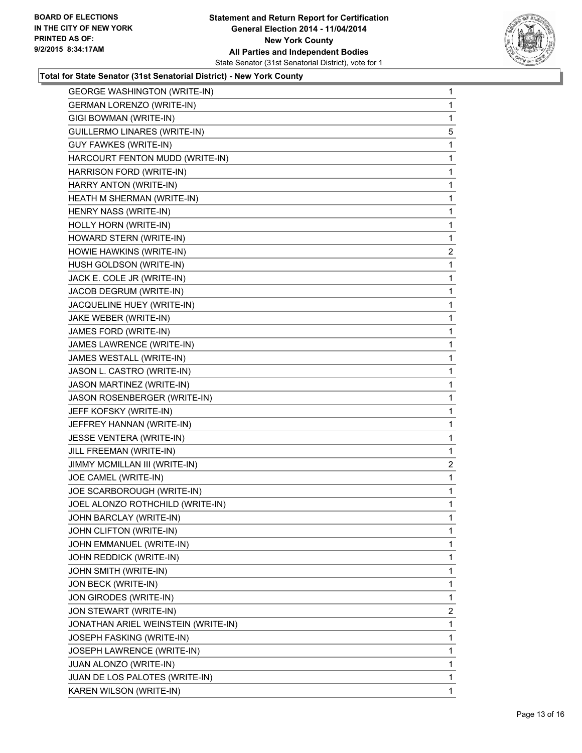

| <b>GEORGE WASHINGTON (WRITE-IN)</b> | 1            |
|-------------------------------------|--------------|
| <b>GERMAN LORENZO (WRITE-IN)</b>    | 1            |
| GIGI BOWMAN (WRITE-IN)              | 1            |
| GUILLERMO LINARES (WRITE-IN)        | 5            |
| <b>GUY FAWKES (WRITE-IN)</b>        | 1            |
| HARCOURT FENTON MUDD (WRITE-IN)     | 1            |
| HARRISON FORD (WRITE-IN)            | 1            |
| HARRY ANTON (WRITE-IN)              | 1            |
| HEATH M SHERMAN (WRITE-IN)          | 1            |
| HENRY NASS (WRITE-IN)               | 1            |
| HOLLY HORN (WRITE-IN)               | 1            |
| HOWARD STERN (WRITE-IN)             | 1            |
| HOWIE HAWKINS (WRITE-IN)            | 2            |
| HUSH GOLDSON (WRITE-IN)             | 1            |
| JACK E. COLE JR (WRITE-IN)          | 1            |
| JACOB DEGRUM (WRITE-IN)             | 1            |
| JACQUELINE HUEY (WRITE-IN)          | 1            |
| JAKE WEBER (WRITE-IN)               | 1            |
| JAMES FORD (WRITE-IN)               | 1            |
| JAMES LAWRENCE (WRITE-IN)           | 1            |
| JAMES WESTALL (WRITE-IN)            | 1            |
| JASON L. CASTRO (WRITE-IN)          | 1            |
| JASON MARTINEZ (WRITE-IN)           | 1            |
| JASON ROSENBERGER (WRITE-IN)        | 1            |
| JEFF KOFSKY (WRITE-IN)              | 1            |
| JEFFREY HANNAN (WRITE-IN)           | 1            |
| JESSE VENTERA (WRITE-IN)            | 1            |
| JILL FREEMAN (WRITE-IN)             | 1            |
| JIMMY MCMILLAN III (WRITE-IN)       | 2            |
| JOE CAMEL (WRITE-IN)                | 1            |
| JOE SCARBOROUGH (WRITE-IN)          | 1            |
| JOEL ALONZO ROTHCHILD (WRITE-IN)    | 1            |
| JOHN BARCLAY (WRITE-IN)             | 1            |
| JOHN CLIFTON (WRITE-IN)             | $\mathbf{1}$ |
| JOHN EMMANUEL (WRITE-IN)            | 1            |
| JOHN REDDICK (WRITE-IN)             | 1            |
| JOHN SMITH (WRITE-IN)               | 1            |
| JON BECK (WRITE-IN)                 | $\mathbf{1}$ |
| JON GIRODES (WRITE-IN)              | 1            |
| JON STEWART (WRITE-IN)              | 2            |
| JONATHAN ARIEL WEINSTEIN (WRITE-IN) | 1            |
| JOSEPH FASKING (WRITE-IN)           | 1            |
| JOSEPH LAWRENCE (WRITE-IN)          | 1            |
| JUAN ALONZO (WRITE-IN)              | $\mathbf{1}$ |
| JUAN DE LOS PALOTES (WRITE-IN)      | 1            |
| KAREN WILSON (WRITE-IN)             | $\mathbf 1$  |
|                                     |              |
|                                     |              |
|                                     |              |
|                                     |              |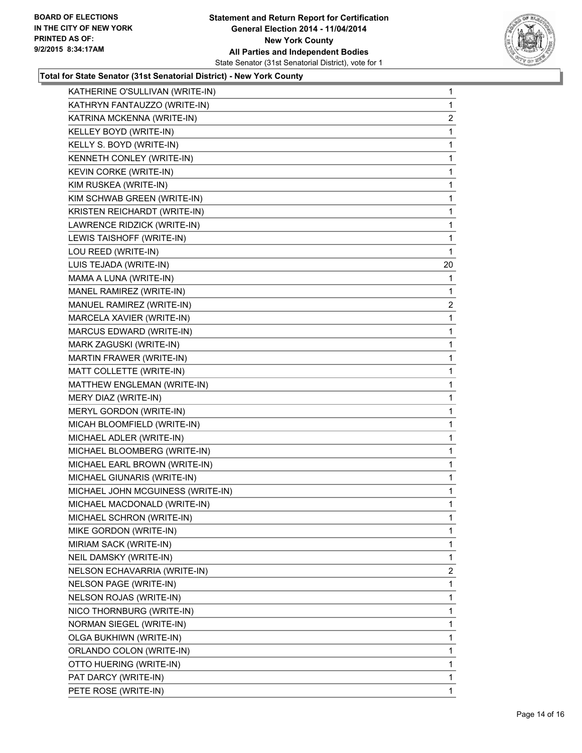

| KATHERINE O'SULLIVAN (WRITE-IN)   | $\mathbf{1}$   |
|-----------------------------------|----------------|
| KATHRYN FANTAUZZO (WRITE-IN)      | 1              |
| KATRINA MCKENNA (WRITE-IN)        | 2              |
| KELLEY BOYD (WRITE-IN)            | 1              |
| KELLY S. BOYD (WRITE-IN)          | 1              |
| KENNETH CONLEY (WRITE-IN)         | 1              |
| KEVIN CORKE (WRITE-IN)            | 1              |
| KIM RUSKEA (WRITE-IN)             | 1              |
| KIM SCHWAB GREEN (WRITE-IN)       | 1              |
| KRISTEN REICHARDT (WRITE-IN)      | 1              |
| LAWRENCE RIDZICK (WRITE-IN)       | 1              |
| LEWIS TAISHOFF (WRITE-IN)         | 1              |
| LOU REED (WRITE-IN)               | 1              |
| LUIS TEJADA (WRITE-IN)            | 20             |
| MAMA A LUNA (WRITE-IN)            | 1              |
| MANEL RAMIREZ (WRITE-IN)          | 1              |
| MANUEL RAMIREZ (WRITE-IN)         | $\overline{c}$ |
| MARCELA XAVIER (WRITE-IN)         | 1              |
| MARCUS EDWARD (WRITE-IN)          | 1              |
| MARK ZAGUSKI (WRITE-IN)           | 1              |
| MARTIN FRAWER (WRITE-IN)          | 1              |
| MATT COLLETTE (WRITE-IN)          | 1              |
| MATTHEW ENGLEMAN (WRITE-IN)       | 1              |
| MERY DIAZ (WRITE-IN)              | 1              |
| MERYL GORDON (WRITE-IN)           | 1              |
| MICAH BLOOMFIELD (WRITE-IN)       | 1              |
| MICHAEL ADLER (WRITE-IN)          | 1              |
| MICHAEL BLOOMBERG (WRITE-IN)      | 1              |
| MICHAEL EARL BROWN (WRITE-IN)     | 1              |
| MICHAEL GIUNARIS (WRITE-IN)       | 1              |
| MICHAEL JOHN MCGUINESS (WRITE-IN) | 1              |
| MICHAEL MACDONALD (WRITE-IN)      | 1              |
| MICHAEL SCHRON (WRITE-IN)         | 1              |
| MIKE GORDON (WRITE-IN)            | 1              |
| MIRIAM SACK (WRITE-IN)            | 1              |
| NEIL DAMSKY (WRITE-IN)            | 1              |
| NELSON ECHAVARRIA (WRITE-IN)      | $\overline{2}$ |
| NELSON PAGE (WRITE-IN)            | 1              |
| NELSON ROJAS (WRITE-IN)           | 1              |
| NICO THORNBURG (WRITE-IN)         | 1              |
| NORMAN SIEGEL (WRITE-IN)          | 1              |
| OLGA BUKHIWN (WRITE-IN)           | 1              |
| ORLANDO COLON (WRITE-IN)          | 1              |
| OTTO HUERING (WRITE-IN)           | 1              |
| PAT DARCY (WRITE-IN)              | 1              |
| PETE ROSE (WRITE-IN)              | 1              |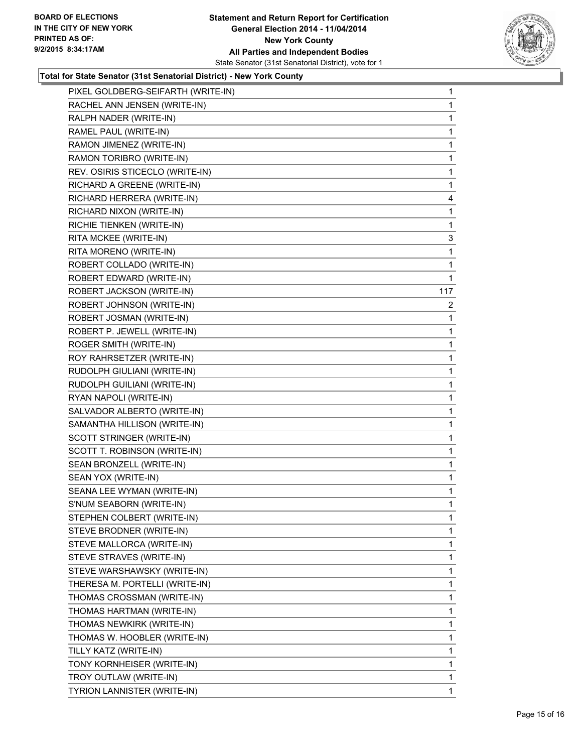

| PIXEL GOLDBERG-SEIFARTH (WRITE-IN) | $\mathbf 1$    |
|------------------------------------|----------------|
| RACHEL ANN JENSEN (WRITE-IN)       | 1              |
| RALPH NADER (WRITE-IN)             | 1              |
| RAMEL PAUL (WRITE-IN)              | 1              |
| RAMON JIMENEZ (WRITE-IN)           | 1              |
| RAMON TORIBRO (WRITE-IN)           | 1              |
| REV. OSIRIS STICECLO (WRITE-IN)    | 1              |
| RICHARD A GREENE (WRITE-IN)        | $\mathbf 1$    |
| RICHARD HERRERA (WRITE-IN)         | 4              |
| RICHARD NIXON (WRITE-IN)           | 1              |
| RICHIE TIENKEN (WRITE-IN)          | 1              |
| RITA MCKEE (WRITE-IN)              | 3              |
| RITA MORENO (WRITE-IN)             | 1              |
| ROBERT COLLADO (WRITE-IN)          | 1              |
| ROBERT EDWARD (WRITE-IN)           | 1              |
| ROBERT JACKSON (WRITE-IN)          | 117            |
| ROBERT JOHNSON (WRITE-IN)          | $\overline{2}$ |
| ROBERT JOSMAN (WRITE-IN)           | 1              |
| ROBERT P. JEWELL (WRITE-IN)        | 1              |
| ROGER SMITH (WRITE-IN)             | $\mathbf 1$    |
| ROY RAHRSETZER (WRITE-IN)          | 1              |
| RUDOLPH GIULIANI (WRITE-IN)        | 1              |
| RUDOLPH GUILIANI (WRITE-IN)        | 1              |
| RYAN NAPOLI (WRITE-IN)             | 1              |
| SALVADOR ALBERTO (WRITE-IN)        | 1              |
| SAMANTHA HILLISON (WRITE-IN)       | $\mathbf 1$    |
| SCOTT STRINGER (WRITE-IN)          | 1              |
| SCOTT T. ROBINSON (WRITE-IN)       | 1              |
| SEAN BRONZELL (WRITE-IN)           | 1              |
| SEAN YOX (WRITE-IN)                | 1              |
| SEANA LEE WYMAN (WRITE-IN)         | 1              |
| S'NUM SEABORN (WRITE-IN)           | 1              |
| STEPHEN COLBERT (WRITE-IN)         | 1              |
| STEVE BRODNER (WRITE-IN)           | 1              |
| STEVE MALLORCA (WRITE-IN)          | 1              |
| STEVE STRAVES (WRITE-IN)           | 1              |
| STEVE WARSHAWSKY (WRITE-IN)        | 1              |
| THERESA M. PORTELLI (WRITE-IN)     | 1              |
| THOMAS CROSSMAN (WRITE-IN)         | 1              |
| THOMAS HARTMAN (WRITE-IN)          | 1              |
| THOMAS NEWKIRK (WRITE-IN)          | 1              |
| THOMAS W. HOOBLER (WRITE-IN)       | 1              |
| TILLY KATZ (WRITE-IN)              | 1              |
| TONY KORNHEISER (WRITE-IN)         | 1              |
| TROY OUTLAW (WRITE-IN)             | 1              |
| TYRION LANNISTER (WRITE-IN)        | 1              |